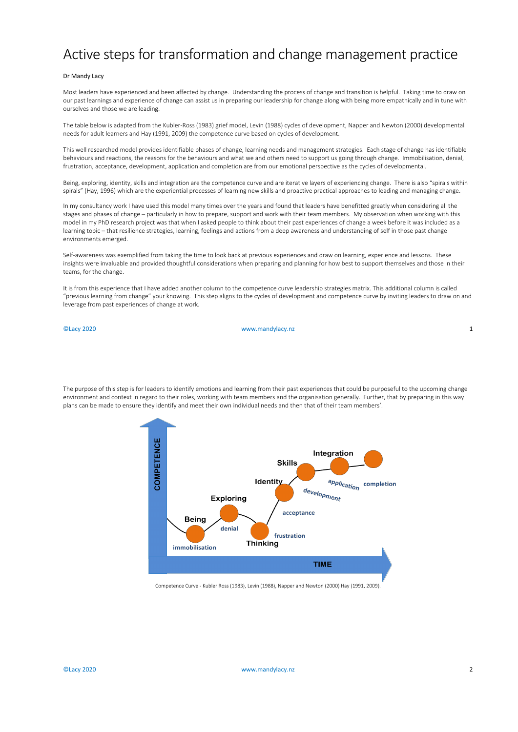## Active steps for transformation and change management practice

## Dr Mandy Lacy

Most leaders have experienced and been affected by change. Understanding the process of change and transition is helpful. Taking time to draw on our past learnings and experience of change can assist us in preparing our leadership for change along with being more empathically and in tune with ourselves and those we are leading.

The table below is adapted from the Kubler-Ross (1983) grief model, Levin (1988) cycles of development, Napper and Newton (2000) developmental needs for adult learners and Hay (1991, 2009) the competence curve based on cycles of development.

This well researched model provides identifiable phases of change, learning needs and management strategies. Each stage of change has identifiable behaviours and reactions, the reasons for the behaviours and what we and others need to support us going through change. Immobilisation, denial, frustration, acceptance, development, application and completion are from our emotional perspective as the cycles of developmental.

Being, exploring, identity, skills and integration are the competence curve and are iterative layers of experiencing change. There is also "spirals within spirals" (Hay, 1996) which are the experiential processes of learning new skills and proactive practical approaches to leading and managing change.

In my consultancy work I have used this model many times over the years and found that leaders have benefitted greatly when considering all the stages and phases of change – particularly in how to prepare, support and work with their team members. My observation when working with this model in my PhD research project was that when I asked people to think about their past experiences of change a week before it was included as a learning topic – that resilience strategies, learning, feelings and actions from a deep awareness and understanding of self in those past change environments emerged.

Self-awareness was exemplified from taking the time to look back at previous experiences and draw on learning, experience and lessons. These insights were invaluable and provided thoughtful considerations when preparing and planning for how best to support themselves and those in their teams, for the change.

It is from this experience that I have added another column to the competence curve leadership strategies matrix. This additional column is called "previous learning from change" your knowing. This step aligns to the cycles of development and competence curve by inviting leaders to draw on and leverage from past experiences of change at work.

©Lacy 2020 www.mandylacy.nz 1

The purpose of this step is for leaders to identify emotions and learning from their past experiences that could be purposeful to the upcoming change environment and context in regard to their roles, working with team members and the organisation generally. Further, that by preparing in this way plans can be made to ensure they identify and meet their own individual needs and then that of their team members'.



Competence Curve - Kubler Ross (1983), Levin (1988), Napper and Newton (2000) Hay (1991, 2009).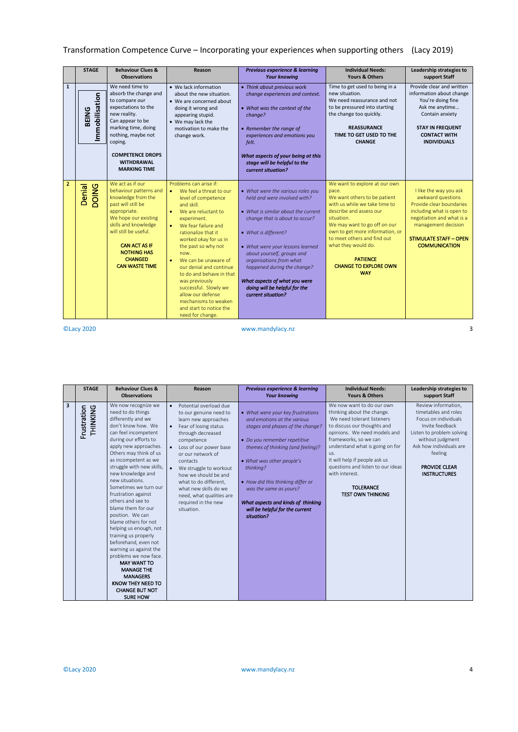## Transformation Competence Curve – Incorporating your experiences when supporting others (Lacy 2019)

|                | <b>STAGE</b>            | <b>Behaviour Clues &amp;</b><br><b>Observations</b>                                                                                                                                                                                                                      | Reason                                                                                                                                                                                                                                                                                                                                                                                                                                                                              | Previous experience & learning<br><b>Your knowing</b>                                                                                                                                                                                                                                                                                                                                  | <b>Individual Needs:</b><br>Yours & Others                                                                                                                                                                                                                                                                                                 | Leadership strategies to<br>support Staff                                                                                                                                                                         |
|----------------|-------------------------|--------------------------------------------------------------------------------------------------------------------------------------------------------------------------------------------------------------------------------------------------------------------------|-------------------------------------------------------------------------------------------------------------------------------------------------------------------------------------------------------------------------------------------------------------------------------------------------------------------------------------------------------------------------------------------------------------------------------------------------------------------------------------|----------------------------------------------------------------------------------------------------------------------------------------------------------------------------------------------------------------------------------------------------------------------------------------------------------------------------------------------------------------------------------------|--------------------------------------------------------------------------------------------------------------------------------------------------------------------------------------------------------------------------------------------------------------------------------------------------------------------------------------------|-------------------------------------------------------------------------------------------------------------------------------------------------------------------------------------------------------------------|
| $\mathbf{1}$   | Immobilisation<br>BEING | We need time to<br>absorb the change and<br>to compare our<br>expectations to the<br>new reality.<br>Can appear to be<br>marking time, doing<br>nothing, maybe not<br>coping.<br><b>COMPETENCE DROPS</b><br><b>WITHDRAWAL</b><br><b>MARKING TIME</b>                     | • We lack information<br>about the new situation.<br>• We are concerned about<br>doing it wrong and<br>appearing stupid.<br>• We may lack the<br>motivation to make the<br>change work.                                                                                                                                                                                                                                                                                             | • Think about previous work<br>change experiences and context.<br>• What was the context of the<br>change?<br>• Remember the range of<br>experiences and emotions you<br>felt.<br>What aspects of your being at this<br>stage will be helpful to the<br>current situation?                                                                                                             | Time to get used to being in a<br>new situation.<br>We need reassurance and not<br>to be pressured into starting<br>the change too quickly.<br><b>REASSURANCE</b><br>TIME TO GET USED TO THE<br><b>CHANGE</b>                                                                                                                              | Provide clear and written<br>information about change<br>You're doing fine<br>Ask me anytime<br>Contain anxiety<br><b>STAY IN FREQUENT</b><br><b>CONTACT WITH</b><br><b>INDIVIDUALS</b>                           |
| $\overline{2}$ | Denial<br><b>DOING</b>  | We act as if our<br>behaviour patterns and<br>knowledge from the<br>past will still be<br>appropriate.<br>We hope our existing<br>skills and knowledge<br>will still be useful.<br><b>CAN ACT AS IF</b><br><b>NOTHING HAS</b><br><b>CHANGED</b><br><b>CAN WASTE TIME</b> | Problems can arise if:<br>We feel a threat to our<br>level of competence<br>and skill.<br>We are reluctant to<br>experiment.<br>We fear failure and<br>$\bullet$<br>rationalize that it<br>worked okay for us in<br>the past so why not<br>now.<br>We can be unaware of<br>$\bullet$<br>our denial and continue<br>to do and behave in that<br>was previously<br>successful. Slowly we<br>allow our defense.<br>mechanisms to weaken<br>and start to notice the<br>need for change. | • What were the various roles you<br>held and were involved with?<br>• What is similar about the current<br>change that is about to occur?<br>• What is different?<br>• What were your lessons learned<br>about yourself, groups and<br>organisations from what<br>happened during the change?<br>What aspects of what you were<br>doing will be helpful for the<br>current situation? | We want to explore at our own<br>pace.<br>We want others to be patient<br>with us while we take time to<br>describe and assess our<br>situation.<br>We may want to go off on our<br>own to get more information, or<br>to meet others and find out<br>what they would do.<br><b>PATIENCE</b><br><b>CHANGE TO EXPLORE OWN</b><br><b>WAY</b> | I like the way you ask<br>awkward questions<br>Provide clear boundaries<br>including what is open to<br>negotiation and what is a<br>management decision<br><b>STIMULATE STAFF - OPEN</b><br><b>COMMUNICATION</b> |

©Lacy 2020 www.mandylacy.nz 3

|   | <b>STAGE</b>            | <b>Behaviour Clues &amp;</b><br><b>Observations</b>                                                                                                                                                                                                                                                                                                                                                                                                                                                                                                                                                                                                                                      | Reason                                                                                                                                                                                                                                                                                                                                                               | Previous experience & learning<br><b>Your knowing</b>                                                                                                                                                                                                                                                                                                                     | <b>Individual Needs:</b><br>Yours & Others                                                                                                                                                                                                                                                                                                                      | Leadership strategies to<br>support Staff                                                                                                                                                                                    |
|---|-------------------------|------------------------------------------------------------------------------------------------------------------------------------------------------------------------------------------------------------------------------------------------------------------------------------------------------------------------------------------------------------------------------------------------------------------------------------------------------------------------------------------------------------------------------------------------------------------------------------------------------------------------------------------------------------------------------------------|----------------------------------------------------------------------------------------------------------------------------------------------------------------------------------------------------------------------------------------------------------------------------------------------------------------------------------------------------------------------|---------------------------------------------------------------------------------------------------------------------------------------------------------------------------------------------------------------------------------------------------------------------------------------------------------------------------------------------------------------------------|-----------------------------------------------------------------------------------------------------------------------------------------------------------------------------------------------------------------------------------------------------------------------------------------------------------------------------------------------------------------|------------------------------------------------------------------------------------------------------------------------------------------------------------------------------------------------------------------------------|
| 3 | THINKING<br>Frustration | We now recognize we<br>need to do things<br>differently and we<br>don't know how. We<br>can feel incompetent<br>during our efforts to<br>apply new approaches.<br>Others may think of us<br>as incompetent as we<br>struggle with new skills,<br>new knowledge and<br>new situations.<br>Sometimes we turn our<br>frustration against<br>others and see to<br>blame them for our<br>position. We can<br>blame others for not<br>helping us enough, not<br>training us properly<br>beforehand, even not<br>warning us against the<br>problems we now face.<br><b>MAY WANT TO</b><br><b>MANAGE THE</b><br><b>MANAGERS</b><br>KNOW THEY NEED TO<br><b>CHANGE BUT NOT</b><br><b>SURE HOW</b> | Potential overload due<br>to our genuine need to<br>learn new approaches<br>Fear of losing status<br>through decreased<br>competence<br>Loss of our power base<br>or our network of<br>contacts<br>We struggle to workout<br>how we should be and<br>what to do different,<br>what new skills do we<br>need, what qualities are<br>required in the new<br>situation. | • What were your key frustrations<br>and emotions at the various<br>stages and phases of the change?<br>• Do you remember repetitive<br>themes of thinking (and feeling)?<br>• What was other people's<br>thinking?<br>• How did this thinking differ or<br>was the same as yours?<br>What aspects and kinds of thinking<br>will be helpful for the current<br>situation? | We now want to do our own<br>thinking about the change.<br>We need tolerant listeners<br>to discuss our thoughts and<br>opinions. We need models and<br>frameworks, so we can<br>understand what is going on for<br>us.<br>It will help if people ask us<br>questions and listen to our ideas<br>with interest.<br><b>TOLERANCE</b><br><b>TEST OWN THINKING</b> | Review information,<br>timetables and roles<br>Focus on individuals<br>Invite feedback<br>Listen to problem solving<br>without judgment<br>Ask how individuals are<br>feeling<br><b>PROVIDE CLEAR</b><br><b>INSTRUCTURES</b> |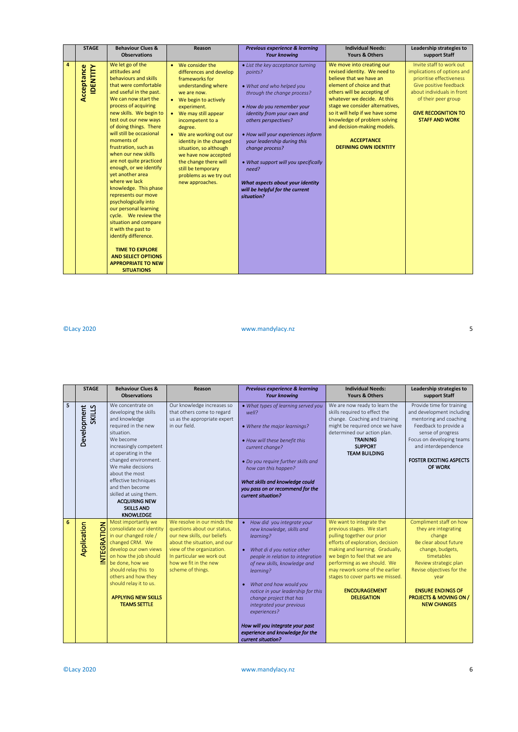| <b>STAGE</b>                                             | <b>Behaviour Clues &amp;</b><br><b>Observations</b>                                                                                                                                                                                                                                                                                                                                                                                                                                                                                                                                                                                                                                                                                       | Reason                                                                                                                                                                                                                                                                                                                                                                                                   | Previous experience & learning<br><b>Your knowing</b>                                                                                                                                                                                                                                                                                                                                                                      | <b>Individual Needs:</b><br>Yours & Others                                                                                                                                                                                                                                                                                                                                 | Leadership strategies to<br>support Staff                                                                                                                                                                                 |
|----------------------------------------------------------|-------------------------------------------------------------------------------------------------------------------------------------------------------------------------------------------------------------------------------------------------------------------------------------------------------------------------------------------------------------------------------------------------------------------------------------------------------------------------------------------------------------------------------------------------------------------------------------------------------------------------------------------------------------------------------------------------------------------------------------------|----------------------------------------------------------------------------------------------------------------------------------------------------------------------------------------------------------------------------------------------------------------------------------------------------------------------------------------------------------------------------------------------------------|----------------------------------------------------------------------------------------------------------------------------------------------------------------------------------------------------------------------------------------------------------------------------------------------------------------------------------------------------------------------------------------------------------------------------|----------------------------------------------------------------------------------------------------------------------------------------------------------------------------------------------------------------------------------------------------------------------------------------------------------------------------------------------------------------------------|---------------------------------------------------------------------------------------------------------------------------------------------------------------------------------------------------------------------------|
| $\overline{\mathbf{4}}$<br>Acceptance<br><b>IDENTITY</b> | We let go of the<br>attitudes and<br>behaviours and skills<br>that were comfortable<br>and useful in the past.<br>We can now start the<br>process of acquiring<br>new skills. We begin to<br>test out our new ways<br>of doing things. There<br>will still be occasional<br>moments of<br>frustration, such as<br>when our new skills<br>are not quite practiced<br>enough, or we identify<br>yet another area<br>where we lack<br>knowledge. This phase<br>represents our move<br>psychologically into<br>our personal learning<br>cycle. We review the<br>situation and compare<br>it with the past to<br>identify difference.<br><b>TIME TO EXPLORE</b><br><b>AND SELECT OPTIONS</b><br><b>APPROPRIATE TO NEW</b><br><b>SITUATIONS</b> | • We consider the<br>differences and develop<br>frameworks for<br>understanding where<br>we are now.<br>• We begin to actively<br>experiment.<br>• We may still appear<br>incompetent to a<br>degree.<br>We are working out our<br>identity in the changed<br>situation, so although<br>we have now accepted<br>the change there will<br>still be temporary<br>problems as we try out<br>new approaches. | • List the key acceptance turning<br>points?<br>• What and who helped you<br>through the change process?<br>• How do you remember your<br>identity from your own and<br>others perspectives?<br>• How will your experiences inform<br>your leadership during this<br>change process?<br>• What support will you specifically<br>need?<br>What aspects about your identity<br>will be helpful for the current<br>situation? | We move into creating our<br>revised identity. We need to<br>believe that we have an<br>element of choice and that<br>others will be accepting of<br>whatever we decide. At this<br>stage we consider alternatives,<br>so it will help if we have some<br>knowledge of problem solving<br>and decision-making models.<br><b>ACCEPTANCE</b><br><b>DEFINING OWN IDENTITY</b> | Invite staff to work out<br>implications of options and<br>prioritise effectiveness<br>Give positive feedback<br>about individuals in front<br>of their peer group<br><b>GIVE RECOGNITION TO</b><br><b>STAFF AND WORK</b> |

©Lacy 2020 www.mandylacy.nz 5

|   | <b>STAGE</b>                      | <b>Behaviour Clues &amp;</b><br><b>Observations</b>                                                                                                                                                                                                                                                                                                                 | Reason                                                                                                                                                                                                                            | Previous experience & learning<br><b>Your knowing</b>                                                                                                                                                                                                                                                                                                                                                                       | <b>Individual Needs:</b><br>Yours & Others                                                                                                                                                                                                                                                                                                   | Leadership strategies to<br>support Staff                                                                                                                                                                                                                                 |
|---|-----------------------------------|---------------------------------------------------------------------------------------------------------------------------------------------------------------------------------------------------------------------------------------------------------------------------------------------------------------------------------------------------------------------|-----------------------------------------------------------------------------------------------------------------------------------------------------------------------------------------------------------------------------------|-----------------------------------------------------------------------------------------------------------------------------------------------------------------------------------------------------------------------------------------------------------------------------------------------------------------------------------------------------------------------------------------------------------------------------|----------------------------------------------------------------------------------------------------------------------------------------------------------------------------------------------------------------------------------------------------------------------------------------------------------------------------------------------|---------------------------------------------------------------------------------------------------------------------------------------------------------------------------------------------------------------------------------------------------------------------------|
| 5 | Development<br>SKILLS             | We concentrate on<br>developing the skills<br>and knowledge<br>required in the new<br>situation.<br>We become<br>increasingly competent<br>at operating in the<br>changed environment.<br>We make decisions<br>about the most<br>effective techniques<br>and then become<br>skilled at using them.<br><b>ACQUIRING NEW</b><br><b>SKILLS AND</b><br><b>KNOWLEDGE</b> | Our knowledge increases so<br>that others come to regard<br>us as the appropriate expert<br>in our field.                                                                                                                         | • What types of learning served you<br>well?<br>• Where the major learnings?<br>. How will these benefit this<br>current change?<br>• Do you require further skills and<br>how can this happen?<br>What skills and knowledge could<br>you pass on or recommend for the<br>current situation?                                                                                                                                | We are now ready to learn the<br>skills required to effect the<br>change. Coaching and training<br>might be required once we have<br>determined our action plan.<br><b>TRAINING</b><br><b>SUPPORT</b><br><b>TEAM BUILDING</b>                                                                                                                | Provide time for training<br>and development including<br>mentoring and coaching<br>Feedback to provide a<br>sense of progress<br>Focus on developing teams<br>and interdependence<br><b>FOSTER EXCITING ASPECTS</b><br>OF WORK                                           |
| 6 | <b>INTEGRATION</b><br>Application | Most importantly we<br>consolidate our identity<br>in our changed role /<br>changed CRM. We<br>develop our own views<br>on how the job should<br>be done, how we<br>should relay this to<br>others and how they<br>should relay it to us.<br><b>APPLYING NEW SKILLS</b><br><b>TEAMS SETTLE</b>                                                                      | We resolve in our minds the<br>questions about our status,<br>our new skills, our beliefs<br>about the situation, and our<br>view of the organization.<br>In particular we work out<br>how we fit in the new<br>scheme of things. | • How did you integrate your<br>new knowledge, skills and<br>learning?<br>What di d you notice other<br>people in relation to integration<br>of new skills, knowledge and<br>learning?<br>What and how would you<br>notice in your leadership for this<br>change project that has<br>integrated your previous<br>experiences?<br>How will you integrate your past<br>experience and knowledge for the<br>current situation? | We want to integrate the<br>previous stages. We start<br>pulling together our prior<br>efforts of exploration, decision<br>making and learning. Gradually,<br>we begin to feel that we are<br>performing as we should. We<br>may rework some of the earlier<br>stages to cover parts we missed.<br><b>ENCOURAGEMENT</b><br><b>DELEGATION</b> | Compliment staff on how<br>they are integrating<br>change<br>Be clear about future<br>change, budgets,<br>timetables<br>Review strategic plan<br>Revise objectives for the<br>year<br><b>ENSURE ENDINGS OF</b><br><b>PROJECTS &amp; MOVING ON /</b><br><b>NEW CHANGES</b> |